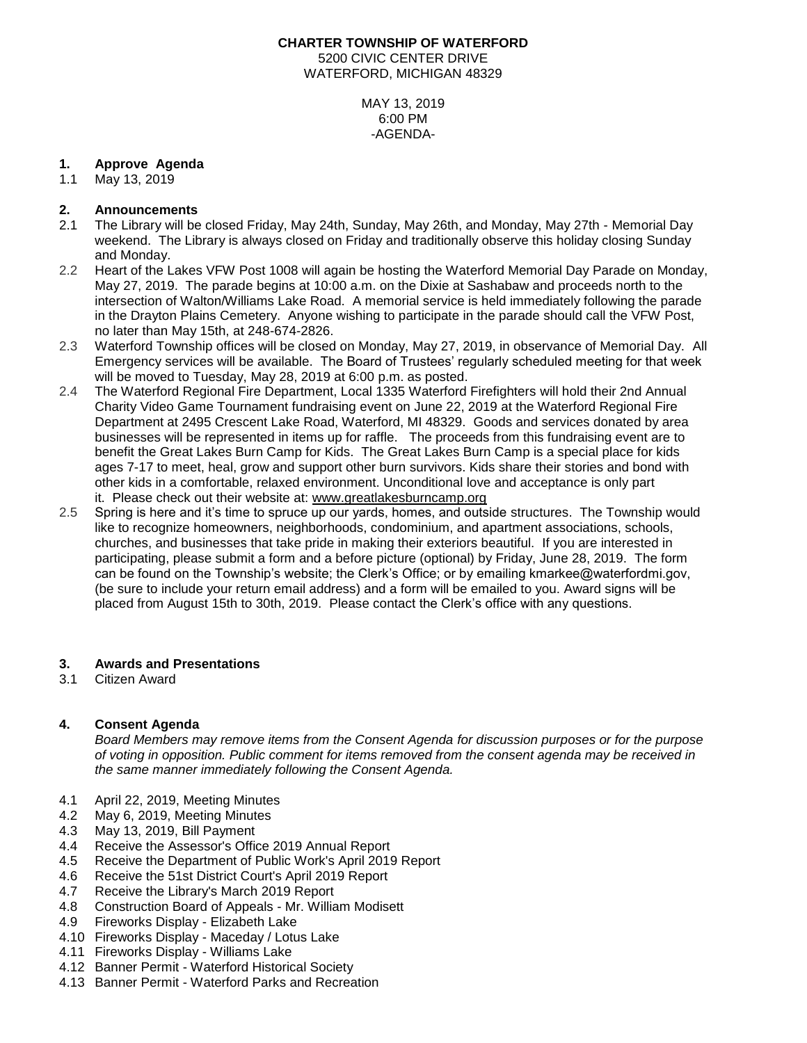# **CHARTER TOWNSHIP OF WATERFORD** 5200 CIVIC CENTER DRIVE WATERFORD, MICHIGAN 48329

MAY 13, 2019 6:00 PM -AGENDA-

## **1. Approve Agenda**

1.1 May 13, 2019

## **2. Announcements**

- 2.1 The Library will be closed Friday, May 24th, Sunday, May 26th, and Monday, May 27th Memorial Day weekend. The Library is always closed on Friday and traditionally observe this holiday closing Sunday and Monday.
- 2.2 Heart of the Lakes VFW Post 1008 will again be hosting the Waterford Memorial Day Parade on Monday, May 27, 2019. The parade begins at 10:00 a.m. on the Dixie at Sashabaw and proceeds north to the intersection of Walton/Williams Lake Road. A memorial service is held immediately following the parade in the Drayton Plains Cemetery. Anyone wishing to participate in the parade should call the VFW Post, no later than May 15th, at 248-674-2826.
- 2.3 Waterford Township offices will be closed on Monday, May 27, 2019, in observance of Memorial Day. All Emergency services will be available. The Board of Trustees' regularly scheduled meeting for that week will be moved to Tuesday, May 28, 2019 at 6:00 p.m. as posted.
- 2.4 The Waterford Regional Fire Department, Local 1335 Waterford Firefighters will hold their 2nd Annual Charity Video Game Tournament fundraising event on June 22, 2019 at the Waterford Regional Fire Department at 2495 Crescent Lake Road, Waterford, MI 48329. Goods and services donated by area businesses will be represented in items up for raffle. The proceeds from this fundraising event are to benefit the Great Lakes Burn Camp for Kids. The Great Lakes Burn Camp is a special place for kids ages 7-17 to meet, heal, grow and support other burn survivors. Kids share their stories and bond with other kids in a comfortable, relaxed environment. Unconditional love and acceptance is only part it. Please check out their website at: [www.greatlakesburncamp.org](http://www.greatlakesburncamp.org/)
- 2.5 Spring is here and it's time to spruce up our yards, homes, and outside structures. The Township would like to recognize homeowners, neighborhoods, condominium, and apartment associations, schools, churches, and businesses that take pride in making their exteriors beautiful. If you are interested in participating, please submit a form and a before picture (optional) by Friday, June 28, 2019. The form can be found on the Township's website; the Clerk's Office; or by emailing kmarkee@waterfordmi.gov, (be sure to include your return email address) and a form will be emailed to you. Award signs will be placed from August 15th to 30th, 2019. Please contact the Clerk's office with any questions.

### **3. Awards and Presentations**

3.1 Citizen Award

## **4. Consent Agenda**

*Board Members may remove items from the Consent Agenda for discussion purposes or for the purpose of voting in opposition. Public comment for items removed from the consent agenda may be received in the same manner immediately following the Consent Agenda.*

- 4.1 April 22, 2019, Meeting Minutes
- 4.2 May 6, 2019, Meeting Minutes
- 4.3 May 13, 2019, Bill Payment
- 4.4 Receive the Assessor's Office 2019 Annual Report
- 4.5 Receive the Department of Public Work's April 2019 Report
- 4.6 Receive the 51st District Court's April 2019 Report
- 4.7 Receive the Library's March 2019 Report
- 4.8 Construction Board of Appeals Mr. William Modisett
- 4.9 Fireworks Display Elizabeth Lake
- 4.10 Fireworks Display Maceday / Lotus Lake
- 4.11 Fireworks Display Williams Lake
- 4.12 Banner Permit Waterford Historical Society
- 4.13 Banner Permit Waterford Parks and Recreation